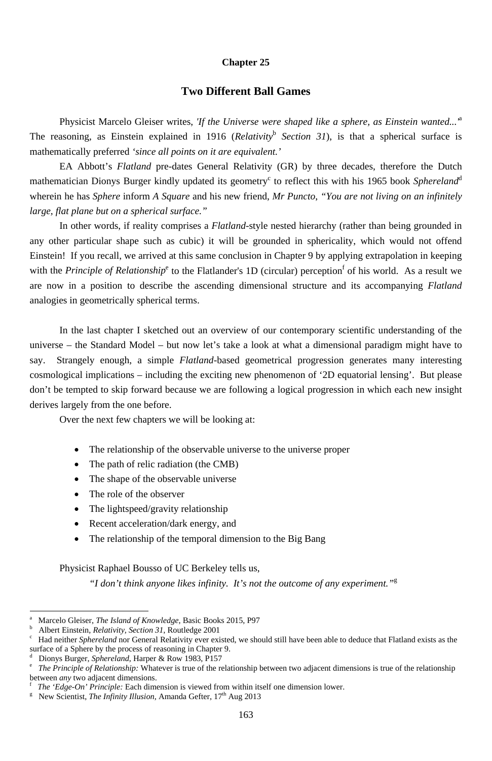#### **Chapter 25**

### **Two Different Ball Games**

Physicist Marcelo Gleiser writes, *'If the Universe were shaped like a sphere, as Einstein wanted...'*<sup>a</sup> The reasoning, as Einstein explained in 1916 (*Relativity*<sup>b</sup> *Section 31*), is that a spherical surface is mathematically preferred *'since all points on it are equivalent.'*

EA Abbott's *Flatland* pre-dates General Relativity (GR) by three decades, therefore the Dutch mathematician Dionys Burger kindly updated its geometry<sup>c</sup> to reflect this with his 1965 book Sphereland<sup>d</sup> wherein he has *Sphere* inform *A Square* and his new friend, *Mr Puncto*, *"You are not living on an infinitely large, flat plane but on a spherical surface."*

- The relationship of the observable universe to the universe proper
- The path of relic radiation (the CMB)
- The shape of the observable universe
- The role of the observer
- The lightspeed/gravity relationship
- Recent acceleration/dark energy, and
- The relationship of the temporal dimension to the Big Bang

In other words, if reality comprises a *Flatland*-style nested hierarchy (rather than being grounded in any other particular shape such as cubic) it will be grounded in sphericality, which would not offend Einstein! If you recall, we arrived at this same conclusion in Chapter 9 by applying extrapolation in keeping with the *Principle of Relationship*<sup>e</sup> to the Flatlander's 1D (circular) perception<sup>f</sup> of his world. As a result we are now in a position to describe the ascending dimensional structure and its accompanying *Flatland* analogies in geometrically spherical terms.

b <sup>b</sup> Albert Einstein, *Relativity, Section 31*, Routledge 2001<sup>c</sup> Had neither *Sphereland* por General Relativity ever exi

-

d <sup>d</sup> Dionys Burger, *Sphereland*, Harper & Row 1983, P157<br>
<sup>e</sup> The Principle of Relationship: Whatever is true of the re

In the last chapter I sketched out an overview of our contemporary scientific understanding of the universe – the Standard Model – but now let's take a look at what a dimensional paradigm might have to say. Strangely enough, a simple *Flatland*-based geometrical progression generates many interesting cosmological implications – including the exciting new phenomenon of '2D equatorial lensing'. But please don't be tempted to skip forward because we are following a logical progression in which each new insight derives largely from the one before.

Over the next few chapters we will be looking at:

Physicist Raphael Bousso of UC Berkeley tells us,

*"I don't think anyone likes infinity. It's not the outcome of any experiment."*<sup>g</sup>

 Had neither *Sphereland* nor General Relativity ever existed, we should still have been able to deduce that Flatland exists as the surface of a Sphere by the process of reasoning in Chapter 9.

 *The Principle of Relationship:* Whatever is true of the relationship between two adjacent dimensions is true of the relationship between *any* two adjacent dimensions.

f *The 'Edge-On' Principle:* Each dimension is viewed from within itself one dimension lower.

<sup>g</sup> New Scientist, *The Infinity Illusion*, Amanda Gefter,  $17<sup>th</sup>$  Aug 2013

a Marcelo Gleiser, *The Island of Knowledge*, Basic Books 2015, P97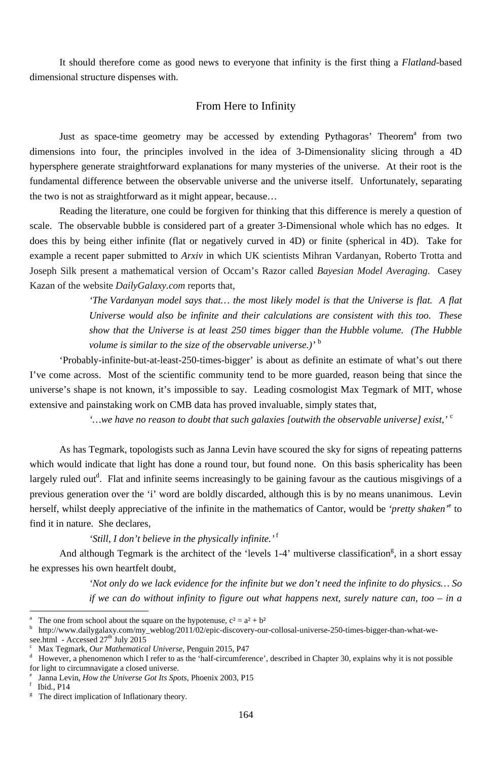It should therefore come as good news to everyone that infinity is the first thing a *Flatland*-based dimensional structure dispenses with.

## From Here to Infinity

Just as space-time geometry may be accessed by extending Pythagoras' Theorem<sup>a</sup> from two dimensions into four, the principles involved in the idea of 3-Dimensionality slicing through a 4D hypersphere generate straightforward explanations for many mysteries of the universe. At their root is the fundamental difference between the observable universe and the universe itself. Unfortunately, separating the two is not as straightforward as it might appear, because…

Reading the literature, one could be forgiven for thinking that this difference is merely a question of scale. The observable bubble is considered part of a greater 3-Dimensional whole which has no edges. It does this by being either infinite (flat or negatively curved in 4D) or finite (spherical in 4D). Take for example a recent paper submitted to *Arxiv* in which UK scientists Mihran Vardanyan, Roberto Trotta and Joseph Silk present a mathematical version of Occam's Razor called *Bayesian Model Averaging*. Casey Kazan of the website *DailyGalaxy.com* reports that,

> *'The Vardanyan model says that… the most likely model is that the Universe is flat. A flat Universe would also be infinite and their calculations are consistent with this too. These show that the Universe is at least 250 times bigger than the Hubble volume. (The Hubble volume is similar to the size of the observable universe.)'* <sup>b</sup>

b http://www.dailygalaxy.com/my\_weblog/2011/02/epic-discovery-our-collosal-universe-250-times-bigger-than-what-wesee.html - Accessed  $27<sup>th</sup>$  July 2015

'Probably-infinite-but-at-least-250-times-bigger' is about as definite an estimate of what's out there I've come across. Most of the scientific community tend to be more guarded, reason being that since the universe's shape is not known, it's impossible to say. Leading cosmologist Max Tegmark of MIT, whose extensive and painstaking work on CMB data has proved invaluable, simply states that,

*'…we have no reason to doubt that such galaxies [outwith the observable universe] exist,'* <sup>c</sup>

As has Tegmark, topologists such as Janna Levin have scoured the sky for signs of repeating patterns which would indicate that light has done a round tour, but found none. On this basis sphericality has been largely ruled out<sup>d</sup>. Flat and infinite seems increasingly to be gaining favour as the cautious misgivings of a previous generation over the 'i' word are boldly discarded, although this is by no means unanimous. Levin herself, whilst deeply appreciative of the infinite in the mathematics of Cantor, would be *'pretty shaken'*<sup>e</sup> to find it in nature. She declares,

## *'Still, I don't believe in the physically infinite.'*<sup>f</sup>

And although Tegmark is the architect of the 'levels 1-4' multiverse classification<sup>g</sup>, in a short essay

he expresses his own heartfelt doubt,

*'Not only do we lack evidence for the infinite but we don't need the infinite to do physics… So if we can do without infinity to figure out what happens next, surely nature can, too – in a* 

Janna Levin, *How the Universe Got Its Spots*, Phoenix 2003, P15

f Ibid., P14

-

<sup>g</sup> The direct implication of Inflationary theory.

a The one from school about the square on the hypotenuse,  $c^2 = a^2 + b^2$ 

d However, a phenomenon which I refer to as the 'half-circumference', described in Chapter 30, explains why it is not possible for light to circumnavigate a closed universe.

Max Tegmark, *Our Mathematical Universe*, Penguin 2015, P47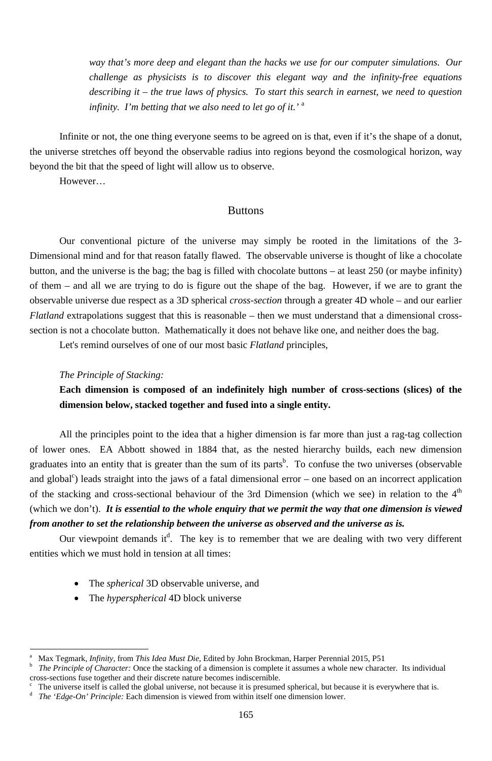*way that's more deep and elegant than the hacks we use for our computer simulations. Our challenge as physicists is to discover this elegant way and the infinity-free equations describing it – the true laws of physics. To start this search in earnest, we need to question infinity. I'm betting that we also need to let go of it.'* <sup>a</sup>

Infinite or not, the one thing everyone seems to be agreed on is that, even if it's the shape of a donut, the universe stretches off beyond the observable radius into regions beyond the cosmological horizon, way beyond the bit that the speed of light will allow us to observe.

However…

### Buttons

Our conventional picture of the universe may simply be rooted in the limitations of the 3- Dimensional mind and for that reason fatally flawed. The observable universe is thought of like a chocolate button, and the universe is the bag; the bag is filled with chocolate buttons – at least 250 (or maybe infinity) of them – and all we are trying to do is figure out the shape of the bag. However, if we are to grant the observable universe due respect as a 3D spherical *cross-section* through a greater 4D whole – and our earlier *Flatland* extrapolations suggest that this is reasonable – then we must understand that a dimensional crosssection is not a chocolate button. Mathematically it does not behave like one, and neither does the bag.

Our viewpoint demands it<sup>d</sup>. The key is to remember that we are dealing with two very different entities which we must hold in tension at all times:

Let's remind ourselves of one of our most basic *Flatland* principles,

## *The Principle of Stacking:*

<sup>-</sup>

**Each dimension is composed of an indefinitely high number of cross-sections (slices) of the dimension below, stacked together and fused into a single entity.** 

All the principles point to the idea that a higher dimension is far more than just a rag-tag collection of lower ones. EA Abbott showed in 1884 that, as the nested hierarchy builds, each new dimension graduates into an entity that is greater than the sum of its parts<sup>b</sup>. To confuse the two universes (observable and global<sup>c</sup>) leads straight into the jaws of a fatal dimensional error – one based on an incorrect application of the stacking and cross-sectional behaviour of the 3rd Dimension (which we see) in relation to the  $4<sup>th</sup>$ (which we don't). *It is essential to the whole enquiry that we permit the way that one dimension is viewed from another to set the relationship between the universe as observed and the universe as is.*

- The *spherical* 3D observable universe, and
- The *hyperspherical* 4D block universe

- The universe itself is called the global universe, not because it is presumed spherical, but because it is everywhere that is.
- d *The 'Edge-On' Principle:* Each dimension is viewed from within itself one dimension lower.

<sup>165</sup>

b *The Principle of Character:* Once the stacking of a dimension is complete it assumes a whole new character. Its individual cross-sections fuse together and their discrete nature becomes indiscernible.

a Max Tegmark, *Infinity*, from *This Idea Must Die*, Edited by John Brockman, Harper Perennial 2015, P51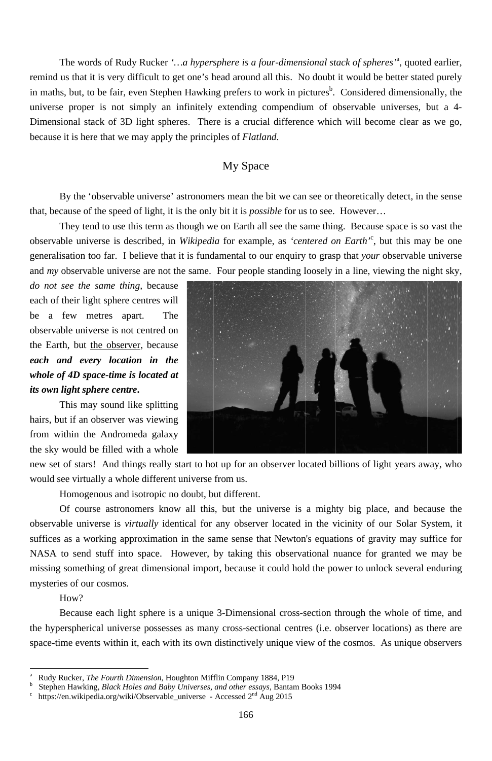The words of Rudy Rucker '...a hypersphere is a four-dimensional stack of spheres'<sup>a</sup>, quoted earlier, remind us that it is very difficult to get one's head around all this. No doubt it would be better stated purely in maths, but, to be fair, even Stephen Hawking prefers to work in pictures<sup>b</sup>. Considered dimensionally, the universe proper is not simply an infinitely extending compendium of observable universes, but a 4-Dimensional stack of 3D light spheres. There is a crucial difference which will become clear as we go, because it is here that we may apply the principles of *Flatland*.

# **My Space**

By the 'observable universe' astronomers mean the bit we can see or theoretically detect, in the sense that, because of the speed of light, it is the only bit it is *possible* for us to see. However...

They tend to use this term as though we on Earth all see the same thing. Because space is so vast the observable universe is described, in Wikipedia for example, as 'centered on Earth'<sup>c</sup>, but this may be one generalisation too far. I believe that it is fundamental to our enquiry to grasp that your observable universe and my observable universe are not the same. Four people standing loosely in a line, viewing the night sky,

do not see the same thing, because each of their light sphere centres will a few metres apart. The be observable universe is not centred on the Earth, but the observer, because each and every location in the whole of 4D space-time is located at its own light sphere centre.

This may sound like splitting hairs, but if an observer was viewing from within the Andromeda galaxy the sky would be filled with a whole



new set of stars! And things really start to hot up for an observer located billions of light years away, who would see virtually a whole different universe from us.

Homogenous and isotropic no doubt, but different.

Of course astronomers know all this, but the universe is a mighty big place, and because the observable universe is *virtually* identical for any observer located in the vicinity of our Solar System, it suffices as a working approximation in the same sense that Newton's equations of gravity may suffice for NASA to send stuff into space. However, by taking this observational nuance for granted we may be

missing something of great dimensional import, because it could hold the power to unlock several enduring mysteries of our cosmos.

How?

Because each light sphere is a unique 3-Dimensional cross-section through the whole of time, and the hyperspherical universe possesses as many cross-sectional centres (i.e. observer locations) as there are space-time events within it, each with its own distinctively unique view of the cosmos. As unique observers

 $\rm{a}$ Rudy Rucker, The Fourth Dimension, Houghton Mifflin Company 1884, P19

 $\mathbf b$ Stephen Hawking, Black Holes and Baby Universes, and other essays, Bantam Books 1994

 $\mathbf{c}$ https://en.wikipedia.org/wiki/Observable\_universe - Accessed  $2<sup>nd</sup>$  Aug 2015

<sup>166</sup>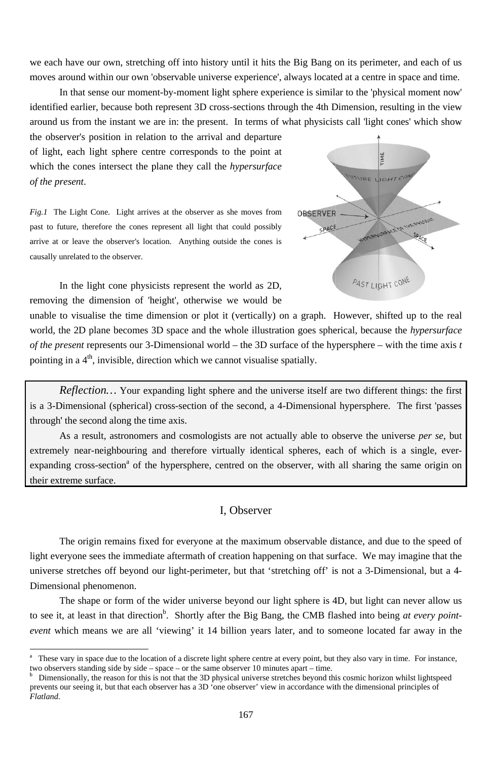we each have our own, stretching off into history until it hits the Big Bang on its perimeter, and each of us moves around within our own 'observable universe experience', always located at a centre in space and time.

In that sense our moment-by-moment light sphere experience is similar to the 'physical moment now' identified earlier, because both represent 3D cross-sections through the 4th Dimension, resulting in the view around us from the instant we are in: the present. In terms of what physicists call 'light cones' which show

the observer's position in relation to the arrival and departure of light, each light sphere centre corresponds to the point at which the cones intersect the plane they call the *hypersurface* of the present.

Fig.1 The Light Cone. Light arrives at the observer as she moves from past to future, therefore the cones represent all light that could possibly arrive at or leave the observer's location. Anything outside the cones is causally unrelated to the observer.

In the light cone physicists represent the world as 2D, removing the dimension of 'height', otherwise we would be

unable to visualise the time dimension or plot it (vertically) on a graph. However, shifted up to the real world, the 2D plane becomes 3D space and the whole illustration goes spherical, because the *hypersurface* of the present represents our 3-Dimensional world – the 3D surface of the hypersphere – with the time axis  $t$ pointing in a 4<sup>th</sup>, invisible, direction which we cannot visualise spatially.

Reflection... Your expanding light sphere and the universe itself are two different things: the first is a 3-Dimensional (spherical) cross-section of the second, a 4-Dimensional hypersphere. The first 'passes through' the second along the time axis.

As a result, astronomers and cosmologists are not actually able to observe the universe per se, but extremely near-neighbouring and therefore virtually identical spheres, each of which is a single, everexpanding cross-section<sup>a</sup> of the hypersphere, centred on the observer, with all sharing the same origin on their extreme surface.

## I, Observer

The origin remains fixed for everyone at the maximum observable distance, and due to the speed of light everyone sees the immediate aftermath of creation happening on that surface. We may imagine that the universe stretches off beyond our light-perimeter, but that 'stretching off' is not a 3-Dimensional, but a 4-Dimensional phenomenon.



The shape or form of the wider universe beyond our light sphere is 4D, but light can never allow us to see it, at least in that direction<sup>b</sup>. Shortly after the Big Bang, the CMB flashed into being at every pointevent which means we are all 'viewing' it 14 billion years later, and to someone located far away in the

167

 $\mathbf{a}$ These vary in space due to the location of a discrete light sphere centre at every point, but they also vary in time. For instance, two observers standing side by side – space – or the same observer 10 minutes apart – time.

Dimensionally, the reason for this is not that the 3D physical universe stretches beyond this cosmic horizon whilst lightspeed prevents our seeing it, but that each observer has a 3D 'one observer' view in accordance with the dimensional principles of Flatland.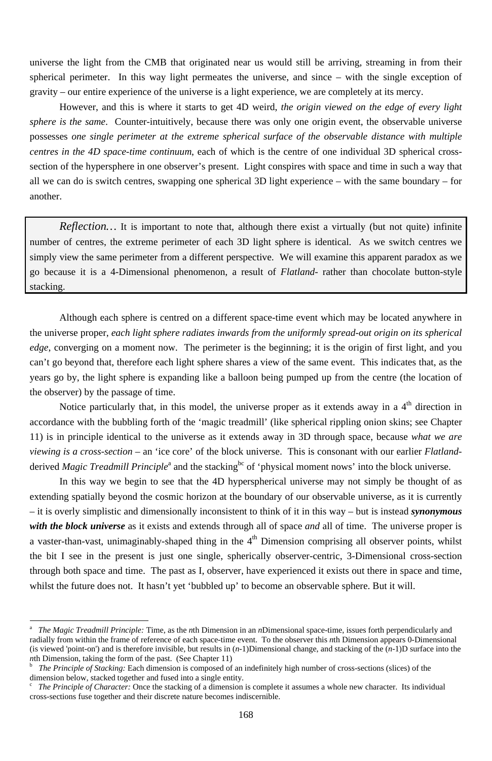universe the light from the CMB that originated near us would still be arriving, streaming in from their spherical perimeter. In this way light permeates the universe, and since – with the single exception of gravity – our entire experience of the universe is a light experience, we are completely at its mercy.

However, and this is where it starts to get 4D weird, *the origin viewed on the edge of every light sphere is the same*. Counter-intuitively, because there was only one origin event, the observable universe possesses *one single perimeter at the extreme spherical surface of the observable distance with multiple centres in the 4D space-time continuum*, each of which is the centre of one individual 3D spherical crosssection of the hypersphere in one observer's present. Light conspires with space and time in such a way that all we can do is switch centres, swapping one spherical 3D light experience – with the same boundary – for another.

*Reflection…* It is important to note that, although there exist a virtually (but not quite) infinite number of centres, the extreme perimeter of each 3D light sphere is identical. As we switch centres we simply view the same perimeter from a different perspective. We will examine this apparent paradox as we go because it is a 4-Dimensional phenomenon, a result of *Flatland-* rather than chocolate button-style stacking.

Although each sphere is centred on a different space-time event which may be located anywhere in the universe proper, *each light sphere radiates inwards from the uniformly spread-out origin on its spherical edge*, converging on a moment now. The perimeter is the beginning; it is the origin of first light, and you can't go beyond that, therefore each light sphere shares a view of the same event. This indicates that, as the years go by, the light sphere is expanding like a balloon being pumped up from the centre (the location of the observer) by the passage of time.

Notice particularly that, in this model, the universe proper as it extends away in a 4<sup>th</sup> direction in accordance with the bubbling forth of the 'magic treadmill' (like spherical rippling onion skins; see Chapter 11) is in principle identical to the universe as it extends away in 3D through space, because *what we are viewing is a cross-section* – an 'ice core' of the block universe. This is consonant with our earlier *Flatland*derived *Magic Treadmill Principle*<sup>a</sup> and the stacking<sup>bc</sup> of 'physical moment nows' into the block universe.

In this way we begin to see that the 4D hyperspherical universe may not simply be thought of as extending spatially beyond the cosmic horizon at the boundary of our observable universe, as it is currently – it is overly simplistic and dimensionally inconsistent to think of it in this way – but is instead *synonymous with the block universe* as it exists and extends through all of space *and* all of time. The universe proper is a vaster-than-vast, unimaginably-shaped thing in the  $4<sup>th</sup>$  Dimension comprising all observer points, whilst the bit I see in the present is just one single, spherically observer-centric, 3-Dimensional cross-section through both space and time. The past as I, observer, have experienced it exists out there in space and time, whilst the future does not. It hasn't yet 'bubbled up' to become an observable sphere. But it will.

-

a *The Magic Treadmill Principle:* Time, as the *n*th Dimension in an *n*Dimensional space-time, issues forth perpendicularly and radially from within the frame of reference of each space-time event. To the observer this *n*th Dimension appears 0-Dimensional (is viewed 'point-on') and is therefore invisible, but results in (*n*-1)Dimensional change, and stacking of the (*n*-1)D surface into the *nth Dimension, taking the form of the past. (See Chapter 11)* 

b *The Principle of Stacking:* Each dimension is composed of an indefinitely high number of cross-sections (slices) of the dimension below, stacked together and fused into a single entity.

c *The Principle of Character:* Once the stacking of a dimension is complete it assumes a whole new character. Its individual cross-sections fuse together and their discrete nature becomes indiscernible.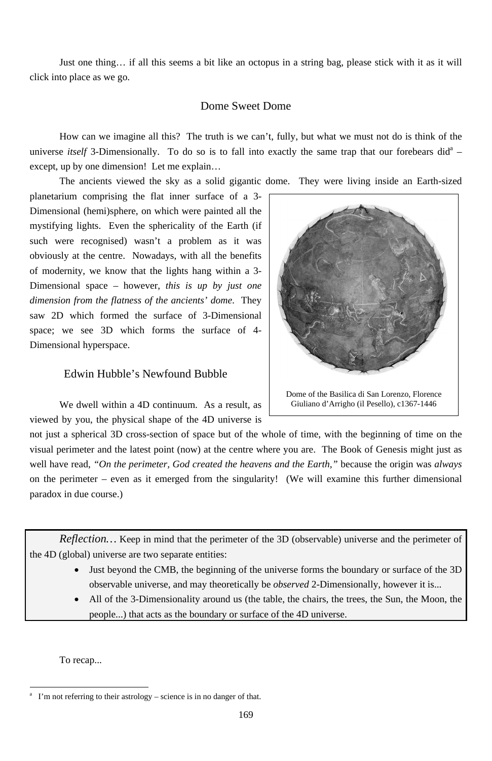Just one thing… if all this seems a bit like an octopus in a string bag, please stick with it as it will click into place as we go.

#### Dome Sweet Dome

How can we imagine all this? The truth is we can't, fully, but what we must not do is think of the universe *itself* 3-Dimensionally. To do so is to fall into exactly the same trap that our forebears did<sup>a</sup> – except, up by one dimension! Let me explain…

The ancients viewed the sky as a solid gigantic dome. They were living inside an Earth-sized

planetarium comprising the flat inner surface of a 3- Dimensional (hemi)sphere, on which were painted all the mystifying lights. Even the sphericality of the Earth (if such were recognised) wasn't a problem as it was obviously at the centre. Nowadays, with all the benefits of modernity, we know that the lights hang within a 3- Dimensional space – however, *this is up by just one dimension from the flatness of the ancients' dome*. They saw 2D which formed the surface of 3-Dimensional space; we see 3D which forms the surface of 4- Dimensional hyperspace.

# Edwin Hubble's Newfound Bubble

We dwell within a 4D continuum. As a result, as viewed by you, the physical shape of the 4D universe is

not just a spherical 3D cross-section of space but of the whole of time, with the beginning of time on the visual perimeter and the latest point (now) at the centre where you are. The Book of Genesis might just as well have read, *"On the perimeter, God created the heavens and the Earth,"* because the origin was *always* on the perimeter – even as it emerged from the singularity! (We will examine this further dimensional paradox in due course.)

*Reflection…* Keep in mind that the perimeter of the 3D (observable) universe and the perimeter of the 4D (global) universe are two separate entities:

- - Just beyond the CMB, the beginning of the universe forms the boundary or surface of the 3D observable universe, and may theoretically be *observed* 2-Dimensionally, however it is...
	- All of the 3-Dimensionality around us (the table, the chairs, the trees, the Sun, the Moon, the people...) that acts as the boundary or surface of the 4D universe.

To recap...

-



Giuliano d'Arrigho (il Pesello), c1367-1446

a I'm not referring to their astrology – science is in no danger of that.